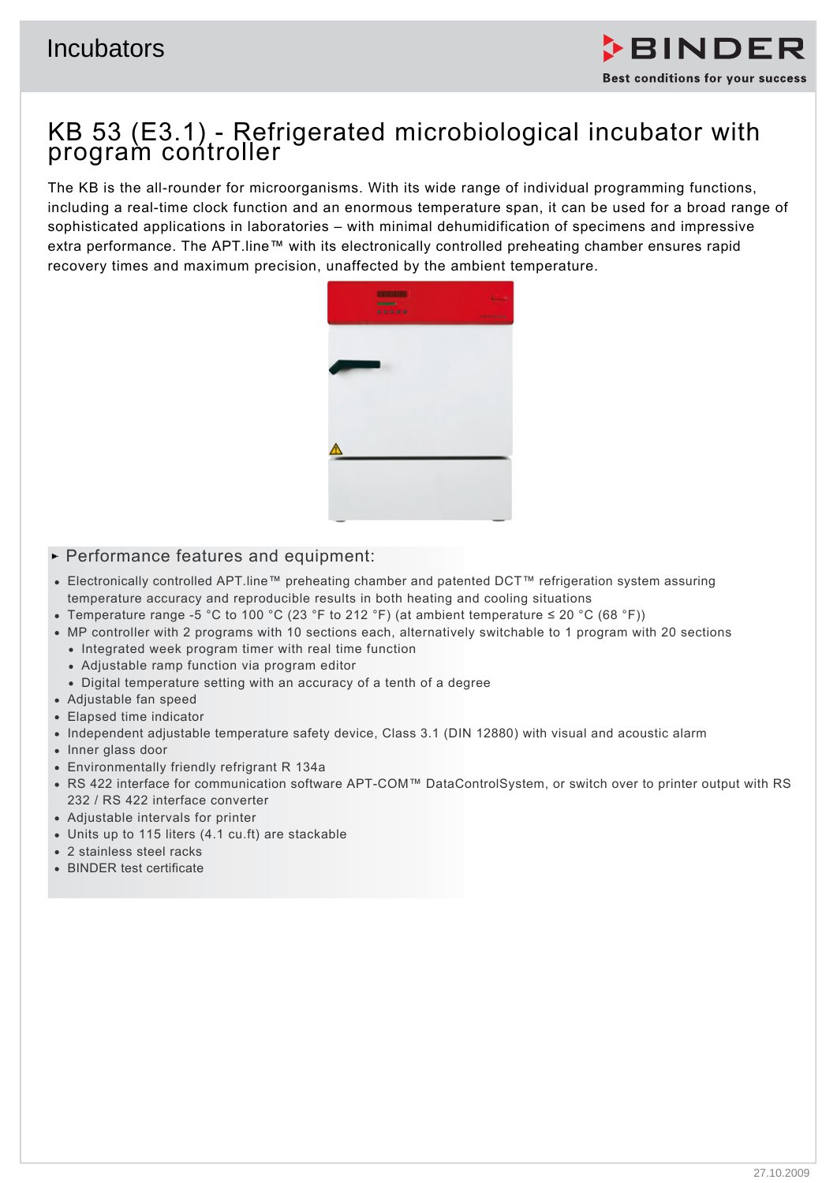

# KB 53 (E3.1) - Refrigerated microbiological incubator with program controller

The KB is the all-rounder for microorganisms. With its wide range of individual programming functions, including a real-time clock function and an enormous temperature span, it can be used for a broad range of sophisticated applications in laboratories – with minimal dehumidification of specimens and impressive extra performance. The APT.line™ with its electronically controlled preheating chamber ensures rapid recovery times and maximum precision, unaffected by the ambient temperature.



## $\blacktriangleright$  Performance features and equipment:

- Electronically controlled APT.line™ preheating chamber and patented DCT™ refrigeration system assuring temperature accuracy and reproducible results in both heating and cooling situations
- Temperature range -5 °C to 100 °C (23 °F to 212 °F) (at ambient temperature ≤ 20 °C (68 °F))
- MP controller with 2 programs with 10 sections each, alternatively switchable to 1 program with 20 sections
	- Integrated week program timer with real time function
	- Adjustable ramp function via program editor
	- Digital temperature setting with an accuracy of a tenth of a degree
- Adjustable fan speed
- Elapsed time indicator
- Independent adjustable temperature safety device, Class 3.1 (DIN 12880) with visual and acoustic alarm
- Inner glass door
- Environmentally friendly refrigrant R 134a
- RS 422 interface for communication software APT-COM™ DataControlSystem, or switch over to printer output with RS 232 / RS 422 interface converter
- Adjustable intervals for printer
- Units up to 115 liters (4.1 cu.ft) are stackable
- 2 stainless steel racks
- BINDER test certificate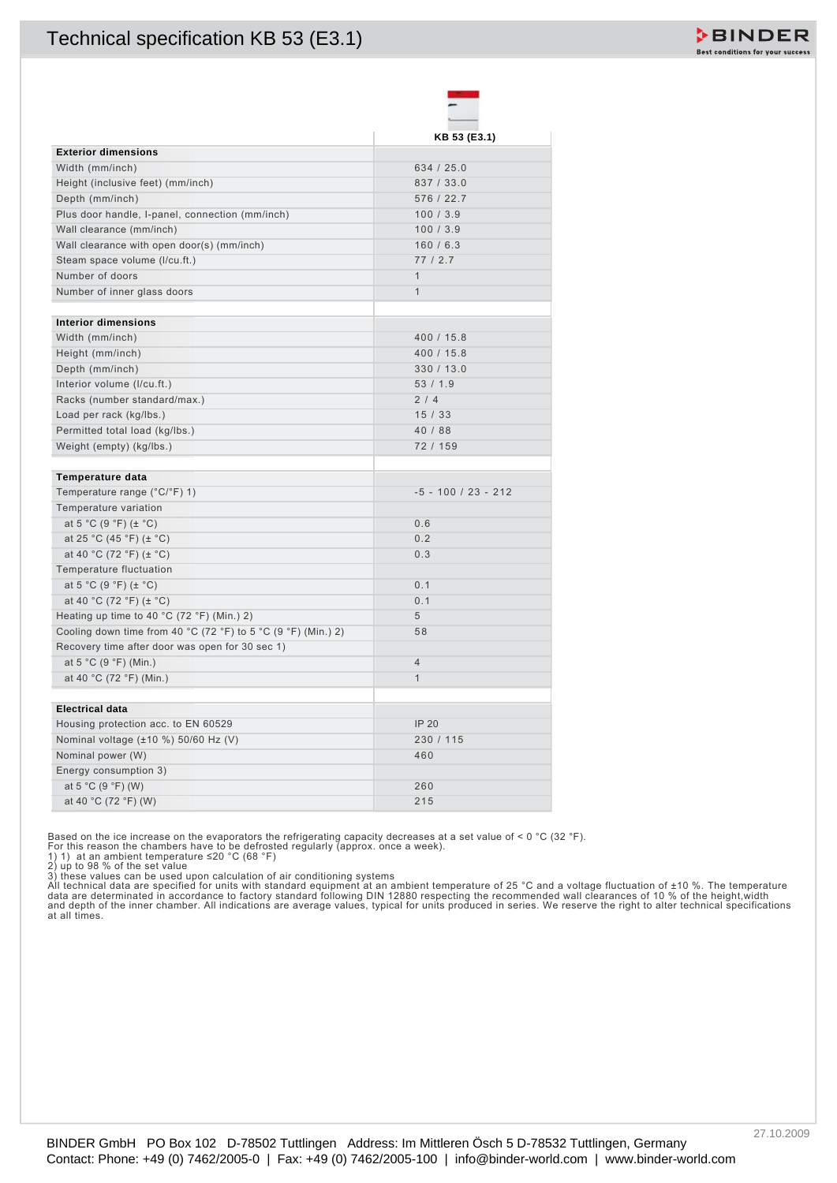

Based on the ice increase on the evaporators the refrigerating capacity decreases at a set value of < 0 °C (32 °F).<br>For this reason the chambers have to be defrosted regularly (approx. once a week).<br>1) 1) at an ambient t

2) up to 98 % of the set value<br>3) these values can be used upon calculation of air conditioning systems<br>All technical data are specified for units with standard equipment at an ambient temperature of 25 °C and a voltage fl

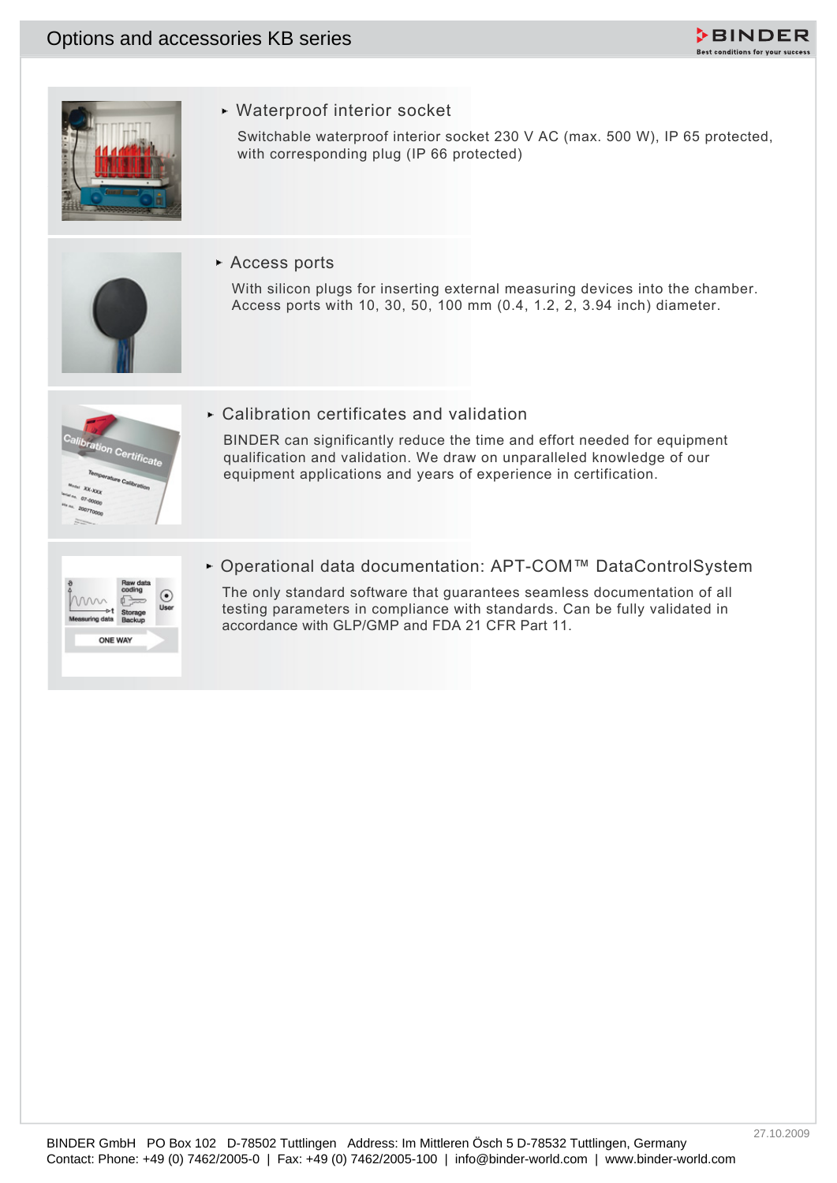



Waterproof interior socket

Switchable waterproof interior socket 230 V AC (max. 500 W), IP 65 protected, with corresponding plug (IP 66 protected)

Access ports

With silicon plugs for inserting external measuring devices into the chamber. Access ports with 10, 30, 50, 100 mm (0.4, 1.2, 2, 3.94 inch) diameter.



Calibration certificates and validation

Contact: Phone: +49 (0) 7462/2006-0 | Fax: +49 (0) 7462/2005-0 | Fax: +49 (0) 7462/2005-0 | Weither a series and their second plus (or information of the series points which access ports which access ports which access por BINDER can significantly reduce the time and effort needed for equipment qualification and validation. We draw on unparalleled knowledge of our equipment applications and years of experience in certification.

|                | Storage |  |
|----------------|---------|--|
| Measuring data | Backup  |  |

Operational data documentation: APT-COM™ DataControlSystem

The only standard software that guarantees seamless documentation of all testing parameters in compliance with standards. Can be fully validated in accordance with GLP/GMP and FDA 21 CFR Part 11.